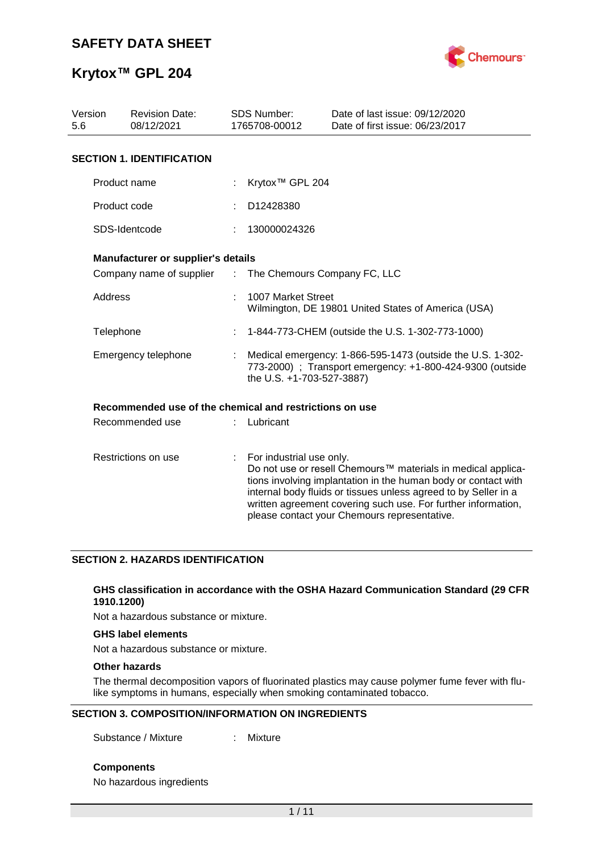

| Version<br>5.6      | <b>Revision Date:</b><br>08/12/2021                     |                               | <b>SDS Number:</b><br>1765708-00012                                                                                                                  | Date of last issue: 09/12/2020<br>Date of first issue: 06/23/2017                                                                                                                                                                                                                                                  |  |  |  |  |
|---------------------|---------------------------------------------------------|-------------------------------|------------------------------------------------------------------------------------------------------------------------------------------------------|--------------------------------------------------------------------------------------------------------------------------------------------------------------------------------------------------------------------------------------------------------------------------------------------------------------------|--|--|--|--|
|                     | <b>SECTION 1. IDENTIFICATION</b>                        |                               |                                                                                                                                                      |                                                                                                                                                                                                                                                                                                                    |  |  |  |  |
|                     | Product name                                            |                               | Krytox <sup>™</sup> GPL 204                                                                                                                          |                                                                                                                                                                                                                                                                                                                    |  |  |  |  |
|                     | Product code                                            |                               | D12428380                                                                                                                                            |                                                                                                                                                                                                                                                                                                                    |  |  |  |  |
|                     | SDS-Identcode                                           |                               | 130000024326                                                                                                                                         |                                                                                                                                                                                                                                                                                                                    |  |  |  |  |
|                     | Manufacturer or supplier's details                      |                               |                                                                                                                                                      |                                                                                                                                                                                                                                                                                                                    |  |  |  |  |
|                     | Company name of supplier                                | $\mathcal{I}^{\mathcal{I}}$ . | The Chemours Company FC, LLC                                                                                                                         |                                                                                                                                                                                                                                                                                                                    |  |  |  |  |
| Address             |                                                         |                               | 1007 Market Street<br>Wilmington, DE 19801 United States of America (USA)                                                                            |                                                                                                                                                                                                                                                                                                                    |  |  |  |  |
|                     | Telephone                                               |                               | 1-844-773-CHEM (outside the U.S. 1-302-773-1000)                                                                                                     |                                                                                                                                                                                                                                                                                                                    |  |  |  |  |
|                     | Emergency telephone                                     |                               | Medical emergency: 1-866-595-1473 (outside the U.S. 1-302-<br>773-2000) : Transport emergency: +1-800-424-9300 (outside<br>the U.S. +1-703-527-3887) |                                                                                                                                                                                                                                                                                                                    |  |  |  |  |
|                     | Recommended use of the chemical and restrictions on use |                               |                                                                                                                                                      |                                                                                                                                                                                                                                                                                                                    |  |  |  |  |
|                     | Recommended use                                         |                               | Lubricant                                                                                                                                            |                                                                                                                                                                                                                                                                                                                    |  |  |  |  |
| Restrictions on use |                                                         | t.                            | For industrial use only.                                                                                                                             | Do not use or resell Chemours™ materials in medical applica-<br>tions involving implantation in the human body or contact with<br>internal body fluids or tissues unless agreed to by Seller in a<br>written agreement covering such use. For further information,<br>please contact your Chemours representative. |  |  |  |  |

## **SECTION 2. HAZARDS IDENTIFICATION**

### **GHS classification in accordance with the OSHA Hazard Communication Standard (29 CFR 1910.1200)**

Not a hazardous substance or mixture.

## **GHS label elements**

Not a hazardous substance or mixture.

## **Other hazards**

The thermal decomposition vapors of fluorinated plastics may cause polymer fume fever with flulike symptoms in humans, especially when smoking contaminated tobacco.

## **SECTION 3. COMPOSITION/INFORMATION ON INGREDIENTS**

Substance / Mixture : Mixture

**Components**

No hazardous ingredients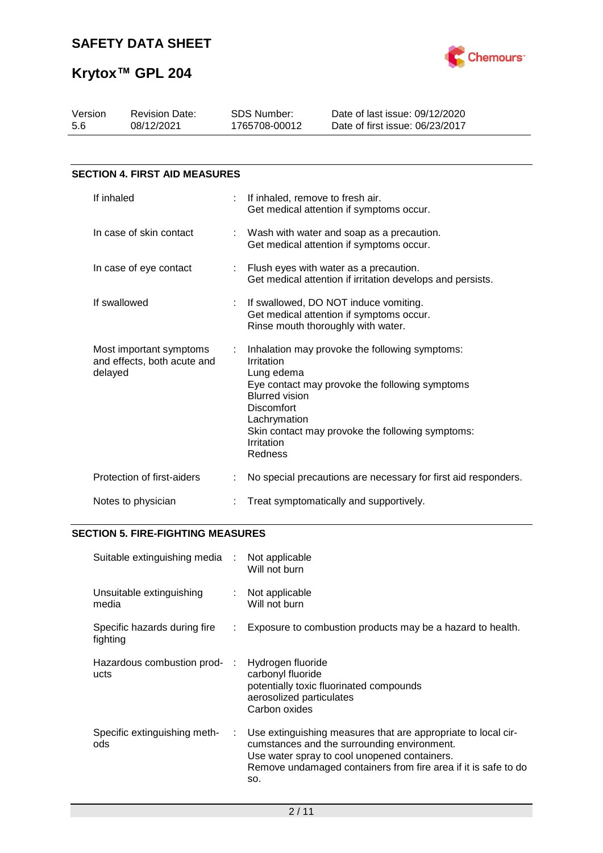

| Version<br>5.6          | <b>Revision Date:</b><br>08/12/2021                    | <b>SDS Number:</b><br>1765708-00012                                                                      | Date of last issue: 09/12/2020<br>Date of first issue: 06/23/2017                                                                                    |
|-------------------------|--------------------------------------------------------|----------------------------------------------------------------------------------------------------------|------------------------------------------------------------------------------------------------------------------------------------------------------|
|                         |                                                        |                                                                                                          |                                                                                                                                                      |
|                         | <b>SECTION 4. FIRST AID MEASURES</b>                   |                                                                                                          |                                                                                                                                                      |
| If inhaled              |                                                        | If inhaled, remove to fresh air.                                                                         | Get medical attention if symptoms occur.                                                                                                             |
| In case of skin contact |                                                        |                                                                                                          | Wash with water and soap as a precaution.<br>Get medical attention if symptoms occur.                                                                |
|                         | In case of eye contact                                 |                                                                                                          | Flush eyes with water as a precaution.<br>Get medical attention if irritation develops and persists.                                                 |
| If swallowed            |                                                        |                                                                                                          | If swallowed, DO NOT induce vomiting.<br>Get medical attention if symptoms occur.<br>Rinse mouth thoroughly with water.                              |
| delayed                 | Most important symptoms<br>and effects, both acute and | Irritation<br>Lung edema<br><b>Blurred vision</b><br>Discomfort<br>Lachrymation<br>Irritation<br>Redness | Inhalation may provoke the following symptoms:<br>Eye contact may provoke the following symptoms<br>Skin contact may provoke the following symptoms: |
|                         | Protection of first-aiders                             |                                                                                                          | No special precautions are necessary for first aid responders.                                                                                       |
|                         | Notes to physician                                     |                                                                                                          | Treat symptomatically and supportively.                                                                                                              |

# **SECTION 5. FIRE-FIGHTING MEASURES**

| Suitable extinguishing media :           |    | Not applicable<br>Will not burn                                                                                                                                                                                                       |
|------------------------------------------|----|---------------------------------------------------------------------------------------------------------------------------------------------------------------------------------------------------------------------------------------|
| Unsuitable extinguishing<br>media        | t. | Not applicable<br>Will not burn                                                                                                                                                                                                       |
| Specific hazards during fire<br>fighting | ÷. | Exposure to combustion products may be a hazard to health.                                                                                                                                                                            |
| Hazardous combustion prod-<br>ucts       | ÷  | Hydrogen fluoride<br>carbonyl fluoride<br>potentially toxic fluorinated compounds<br>aerosolized particulates<br>Carbon oxides                                                                                                        |
| Specific extinguishing meth-<br>ods      | ÷. | Use extinguishing measures that are appropriate to local cir-<br>cumstances and the surrounding environment.<br>Use water spray to cool unopened containers.<br>Remove undamaged containers from fire area if it is safe to do<br>SO. |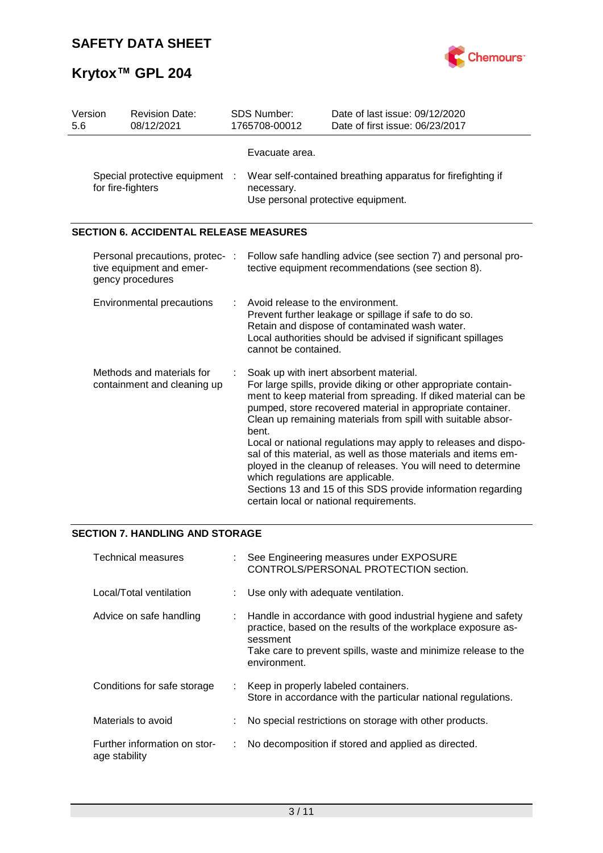

| Version<br>5.6                                           | <b>Revision Date:</b><br>08/12/2021                                             |   | <b>SDS Number:</b><br>1765708-00012                                                                                                                                                                                                                                                                                                                                                                                                                                                                                                                                                                                                                                    | Date of last issue: 09/12/2020<br>Date of first issue: 06/23/2017                                                   |  |
|----------------------------------------------------------|---------------------------------------------------------------------------------|---|------------------------------------------------------------------------------------------------------------------------------------------------------------------------------------------------------------------------------------------------------------------------------------------------------------------------------------------------------------------------------------------------------------------------------------------------------------------------------------------------------------------------------------------------------------------------------------------------------------------------------------------------------------------------|---------------------------------------------------------------------------------------------------------------------|--|
|                                                          | Special protective equipment :<br>for fire-fighters                             |   | Evacuate area.<br>necessary.<br>Use personal protective equipment.                                                                                                                                                                                                                                                                                                                                                                                                                                                                                                                                                                                                     | Wear self-contained breathing apparatus for firefighting if                                                         |  |
|                                                          | <b>SECTION 6. ACCIDENTAL RELEASE MEASURES</b>                                   |   |                                                                                                                                                                                                                                                                                                                                                                                                                                                                                                                                                                                                                                                                        |                                                                                                                     |  |
|                                                          | Personal precautions, protec- :<br>tive equipment and emer-<br>gency procedures |   |                                                                                                                                                                                                                                                                                                                                                                                                                                                                                                                                                                                                                                                                        | Follow safe handling advice (see section 7) and personal pro-<br>tective equipment recommendations (see section 8). |  |
|                                                          | <b>Environmental precautions</b>                                                |   | Avoid release to the environment.<br>Prevent further leakage or spillage if safe to do so.<br>Retain and dispose of contaminated wash water.<br>Local authorities should be advised if significant spillages<br>cannot be contained.                                                                                                                                                                                                                                                                                                                                                                                                                                   |                                                                                                                     |  |
| Methods and materials for<br>containment and cleaning up |                                                                                 | ÷ | Soak up with inert absorbent material.<br>For large spills, provide diking or other appropriate contain-<br>ment to keep material from spreading. If diked material can be<br>pumped, store recovered material in appropriate container.<br>Clean up remaining materials from spill with suitable absor-<br>bent.<br>Local or national regulations may apply to releases and dispo-<br>sal of this material, as well as those materials and items em-<br>ployed in the cleanup of releases. You will need to determine<br>which regulations are applicable.<br>Sections 13 and 15 of this SDS provide information regarding<br>certain local or national requirements. |                                                                                                                     |  |

# **SECTION 7. HANDLING AND STORAGE**

| Technical measures                            |    | : See Engineering measures under EXPOSURE<br>CONTROLS/PERSONAL PROTECTION section.                                                                                                                                           |
|-----------------------------------------------|----|------------------------------------------------------------------------------------------------------------------------------------------------------------------------------------------------------------------------------|
| Local/Total ventilation                       |    | : Use only with adequate ventilation.                                                                                                                                                                                        |
| Advice on safe handling                       |    | : Handle in accordance with good industrial hygiene and safety<br>practice, based on the results of the workplace exposure as-<br>sessment<br>Take care to prevent spills, waste and minimize release to the<br>environment. |
| Conditions for safe storage                   |    | : Keep in properly labeled containers.<br>Store in accordance with the particular national regulations.                                                                                                                      |
| Materials to avoid                            |    | No special restrictions on storage with other products.                                                                                                                                                                      |
| Further information on stor-<br>age stability | ÷. | No decomposition if stored and applied as directed.                                                                                                                                                                          |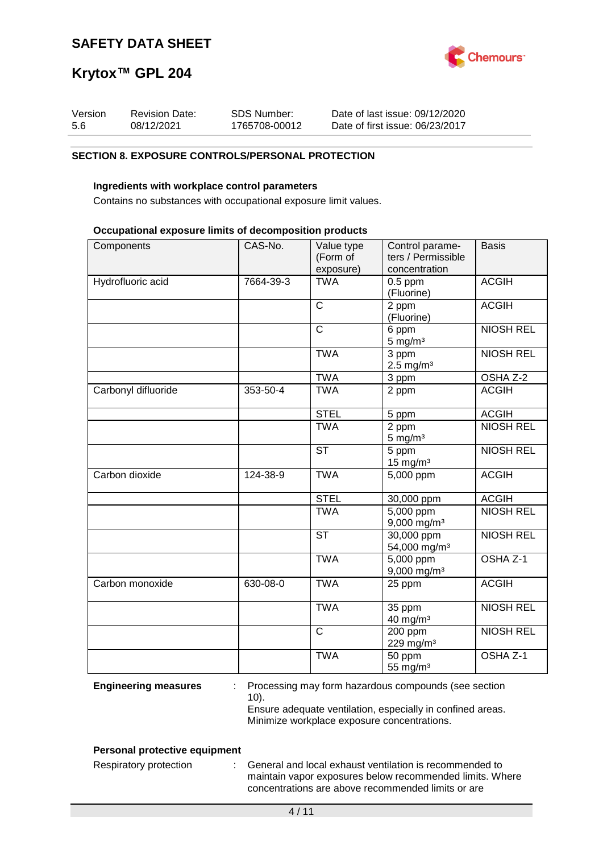

| Version | <b>Revision Date:</b> | SDS Number:   | Date of last issue: 09/12/2020  |
|---------|-----------------------|---------------|---------------------------------|
| 5.6     | 08/12/2021            | 1765708-00012 | Date of first issue: 06/23/2017 |

## **SECTION 8. EXPOSURE CONTROLS/PERSONAL PROTECTION**

## **Ingredients with workplace control parameters**

Contains no substances with occupational exposure limit values.

### **Occupational exposure limits of decomposition products**

| Components          | CAS-No.   | Value type<br>(Form of<br>exposure) | Control parame-<br>ters / Permissible<br>concentration | <b>Basis</b>        |
|---------------------|-----------|-------------------------------------|--------------------------------------------------------|---------------------|
| Hydrofluoric acid   | 7664-39-3 | <b>TWA</b>                          | $0.5$ ppm<br>(Fluorine)                                | <b>ACGIH</b>        |
|                     |           | $\mathsf{C}$                        | 2 ppm<br>(Fluorine)                                    | <b>ACGIH</b>        |
|                     |           | $\overline{C}$                      | 6 ppm<br>$5 \text{ mg/m}^3$                            | <b>NIOSH REL</b>    |
|                     |           | <b>TWA</b>                          | 3 ppm<br>$2.5 \text{ mg/m}^3$                          | <b>NIOSH REL</b>    |
|                     |           | <b>TWA</b>                          | 3 ppm                                                  | OSHA Z-2            |
| Carbonyl difluoride | 353-50-4  | <b>TWA</b>                          | 2 ppm                                                  | <b>ACGIH</b>        |
|                     |           | <b>STEL</b>                         | 5 ppm                                                  | <b>ACGIH</b>        |
|                     |           | <b>TWA</b>                          | 2 ppm<br>$5 \text{ mg/m}^3$                            | <b>NIOSH REL</b>    |
|                     |           | <b>ST</b>                           | 5 ppm<br>$15$ mg/m <sup>3</sup>                        | <b>NIOSH REL</b>    |
| Carbon dioxide      | 124-38-9  | <b>TWA</b>                          | 5,000 ppm                                              | <b>ACGIH</b>        |
|                     |           | <b>STEL</b>                         | 30,000 ppm                                             | <b>ACGIH</b>        |
|                     |           | <b>TWA</b>                          | $\overline{5,000}$ ppm<br>$9,000$ mg/m <sup>3</sup>    | <b>NIOSH REL</b>    |
|                     |           | <b>ST</b>                           | $30,000$ ppm<br>54,000 mg/m <sup>3</sup>               | <b>NIOSH REL</b>    |
|                     |           | <b>TWA</b>                          | 5,000 ppm<br>$9,000$ mg/m <sup>3</sup>                 | OSHA <sub>Z-1</sub> |
| Carbon monoxide     | 630-08-0  | <b>TWA</b>                          | 25 ppm                                                 | <b>ACGIH</b>        |
|                     |           | <b>TWA</b>                          | 35 ppm<br>$40$ mg/m <sup>3</sup>                       | <b>NIOSH REL</b>    |
|                     |           | $\mathsf{C}$                        | 200 ppm<br>229 mg/m <sup>3</sup>                       | <b>NIOSH REL</b>    |
|                     |           | <b>TWA</b>                          | 50 ppm<br>55 mg/m <sup>3</sup>                         | OSHA Z-1            |

**Engineering measures** : Processing may form hazardous compounds (see section 10).

Ensure adequate ventilation, especially in confined areas. Minimize workplace exposure concentrations.

## **Personal protective equipment**

Respiratory protection : General and local exhaust ventilation is recommended to maintain vapor exposures below recommended limits. Where concentrations are above recommended limits or are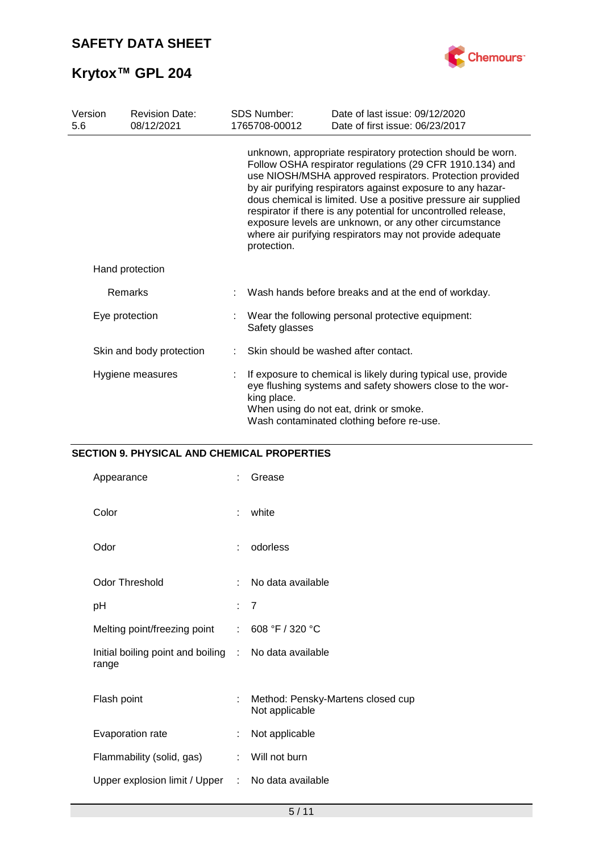

| Version<br>5.6   | <b>Revision Date:</b><br>08/12/2021 |                                                                                                                                                                                                                                                                                                                                                                                                                                                                                                                             | <b>SDS Number:</b><br>1765708-00012                                 | Date of last issue: 09/12/2020<br>Date of first issue: 06/23/2017                                                          |  |  |
|------------------|-------------------------------------|-----------------------------------------------------------------------------------------------------------------------------------------------------------------------------------------------------------------------------------------------------------------------------------------------------------------------------------------------------------------------------------------------------------------------------------------------------------------------------------------------------------------------------|---------------------------------------------------------------------|----------------------------------------------------------------------------------------------------------------------------|--|--|
|                  |                                     | unknown, appropriate respiratory protection should be worn.<br>Follow OSHA respirator regulations (29 CFR 1910.134) and<br>use NIOSH/MSHA approved respirators. Protection provided<br>by air purifying respirators against exposure to any hazar-<br>dous chemical is limited. Use a positive pressure air supplied<br>respirator if there is any potential for uncontrolled release,<br>exposure levels are unknown, or any other circumstance<br>where air purifying respirators may not provide adequate<br>protection. |                                                                     |                                                                                                                            |  |  |
|                  | Hand protection                     |                                                                                                                                                                                                                                                                                                                                                                                                                                                                                                                             |                                                                     |                                                                                                                            |  |  |
|                  | Remarks                             |                                                                                                                                                                                                                                                                                                                                                                                                                                                                                                                             |                                                                     | Wash hands before breaks and at the end of workday.                                                                        |  |  |
| Eye protection   |                                     |                                                                                                                                                                                                                                                                                                                                                                                                                                                                                                                             | Wear the following personal protective equipment:<br>Safety glasses |                                                                                                                            |  |  |
|                  | Skin and body protection            |                                                                                                                                                                                                                                                                                                                                                                                                                                                                                                                             |                                                                     | Skin should be washed after contact.                                                                                       |  |  |
| Hygiene measures |                                     | king place.<br>When using do not eat, drink or smoke.<br>Wash contaminated clothing before re-use.                                                                                                                                                                                                                                                                                                                                                                                                                          |                                                                     | If exposure to chemical is likely during typical use, provide<br>eye flushing systems and safety showers close to the wor- |  |  |

# **SECTION 9. PHYSICAL AND CHEMICAL PROPERTIES**

| Appearance                                                     |   | Grease                                              |
|----------------------------------------------------------------|---|-----------------------------------------------------|
| Color                                                          | ÷ | white                                               |
| Odor                                                           | ÷ | odorless                                            |
| Odor Threshold                                                 | ÷ | No data available                                   |
| рH                                                             |   | : 7                                                 |
| Melting point/freezing point :                                 |   | 608 °F / 320 °C                                     |
| Initial boiling point and boiling : No data available<br>range |   |                                                     |
| Flash point                                                    | ÷ | Method: Pensky-Martens closed cup<br>Not applicable |
| Evaporation rate                                               | ÷ | Not applicable                                      |
| Flammability (solid, gas)                                      | ÷ | Will not burn                                       |
| Upper explosion limit / Upper :                                |   | No data available                                   |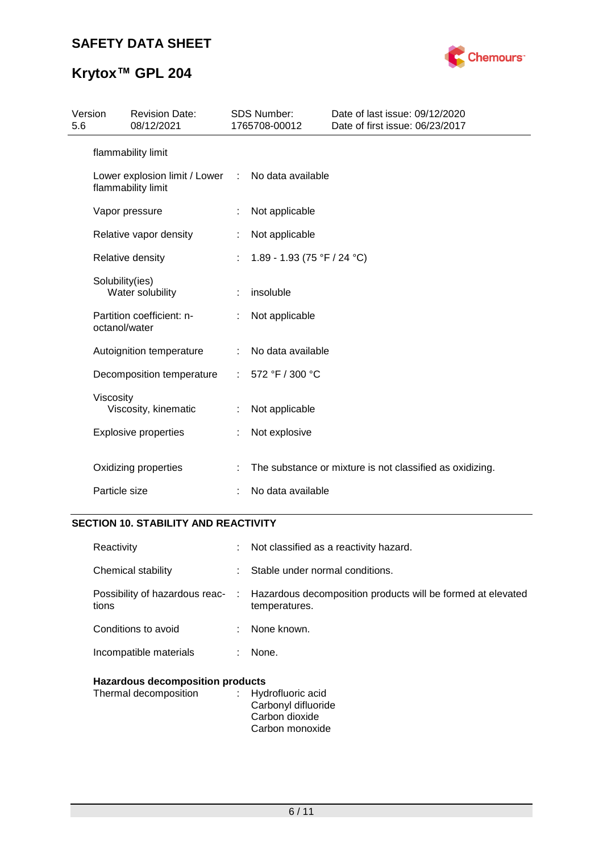

| Version<br>5.6 |                 | <b>Revision Date:</b><br>08/12/2021                 |                   | SDS Number:<br>1765708-00012 | Date of last issue: 09/12/2020<br>Date of first issue: 06/23/2017 |
|----------------|-----------------|-----------------------------------------------------|-------------------|------------------------------|-------------------------------------------------------------------|
|                |                 | flammability limit                                  |                   |                              |                                                                   |
|                |                 | Lower explosion limit / Lower<br>flammability limit | $\mathcal{L}$     | No data available            |                                                                   |
|                |                 | Vapor pressure                                      | ÷                 | Not applicable               |                                                                   |
|                |                 | Relative vapor density                              |                   | Not applicable               |                                                                   |
|                |                 | Relative density                                    |                   | 1.89 - 1.93 (75 °F / 24 °C)  |                                                                   |
|                | Solubility(ies) | Water solubility                                    | ÷                 | insoluble                    |                                                                   |
|                | octanol/water   | Partition coefficient: n-                           |                   | Not applicable               |                                                                   |
|                |                 | Autoignition temperature                            |                   | No data available            |                                                                   |
|                |                 | Decomposition temperature                           | ÷                 | 572 °F / 300 °C              |                                                                   |
|                | Viscosity       | Viscosity, kinematic                                | ÷                 | Not applicable               |                                                                   |
|                |                 | <b>Explosive properties</b>                         | ÷                 | Not explosive                |                                                                   |
|                |                 | Oxidizing properties                                |                   |                              | The substance or mixture is not classified as oxidizing.          |
| Particle size  |                 |                                                     | No data available |                              |                                                                   |

# **SECTION 10. STABILITY AND REACTIVITY**

| the contract of the company of the company threats. |    |                                                                                                               |
|-----------------------------------------------------|----|---------------------------------------------------------------------------------------------------------------|
| Incompatible materials                              |    | None.                                                                                                         |
| Conditions to avoid                                 |    | : None known.                                                                                                 |
| tions                                               |    | Possibility of hazardous reac- : Hazardous decomposition products will be formed at elevated<br>temperatures. |
| Chemical stability                                  | ÷. | Stable under normal conditions.                                                                               |
| Reactivity                                          |    | Not classified as a reactivity hazard.                                                                        |

# **Hazardous decomposition products**<br>Thermal decomposition : Hyd

| Thermal decomposition | : Hydrofluoric acid |
|-----------------------|---------------------|
|                       | Carbonyl difluoride |
|                       | Carbon dioxide      |
|                       | Carbon monoxide     |
|                       |                     |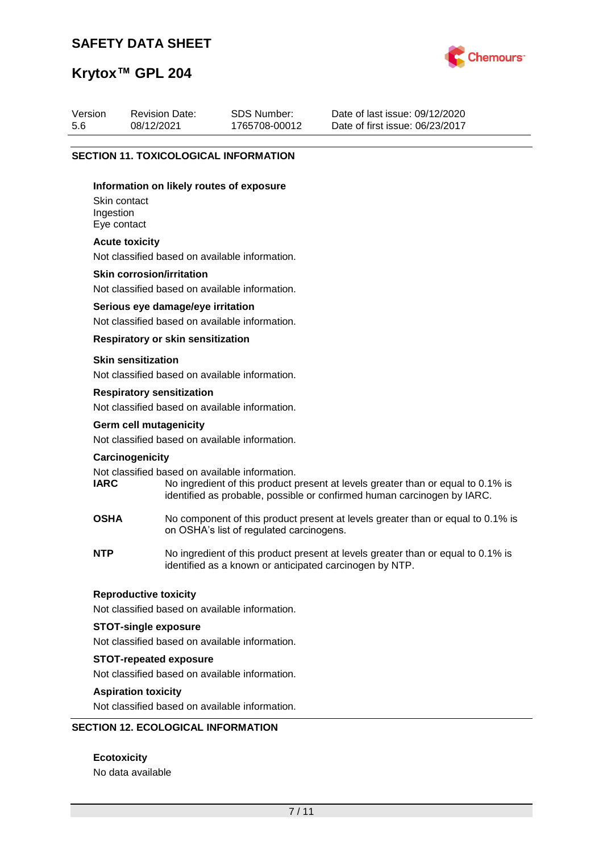# **SAFETY DATA SHEET**



# **Krytox™ GPL 204**

| Version | <b>Revision Date:</b> | SDS Number:   | Date of last issue: 09/12/2020  |
|---------|-----------------------|---------------|---------------------------------|
| 5.6     | 08/12/2021            | 1765708-00012 | Date of first issue: 06/23/2017 |

## **SECTION 11. TOXICOLOGICAL INFORMATION**

#### **Information on likely routes of exposure**

Skin contact Ingestion Eye contact

#### **Acute toxicity**

Not classified based on available information.

#### **Skin corrosion/irritation**

Not classified based on available information.

#### **Serious eye damage/eye irritation**

Not classified based on available information.

### **Respiratory or skin sensitization**

#### **Skin sensitization**

Not classified based on available information.

#### **Respiratory sensitization**

Not classified based on available information.

# **Germ cell mutagenicity**

Not classified based on available information.

#### **Carcinogenicity**

Not classified based on available information.<br> **IARC** No ingredient of this product to

- No ingredient of this product present at levels greater than or equal to 0.1% is identified as probable, possible or confirmed human carcinogen by IARC.
- **OSHA** No component of this product present at levels greater than or equal to 0.1% is on OSHA's list of regulated carcinogens.
- **NTP** No ingredient of this product present at levels greater than or equal to 0.1% is identified as a known or anticipated carcinogen by NTP.

#### **Reproductive toxicity**

Not classified based on available information.

## **STOT-single exposure**

Not classified based on available information.

#### **STOT-repeated exposure**

Not classified based on available information.

#### **Aspiration toxicity**

Not classified based on available information.

## **SECTION 12. ECOLOGICAL INFORMATION**

**Ecotoxicity** No data available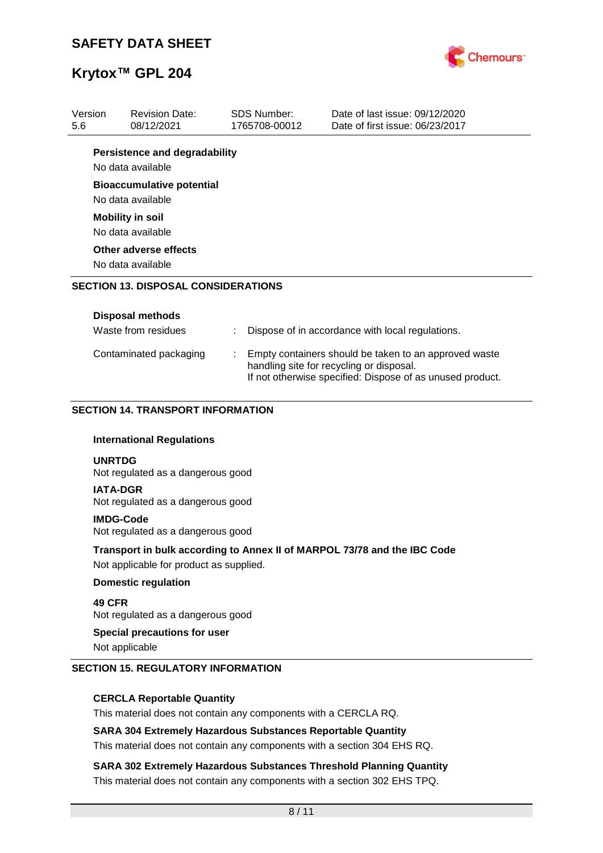

| Version<br>5.6 | <b>Revision Date:</b><br>08/12/2021                   |  | SDS Number:<br>1765708-00012 | Date of last issue: 09/12/2020<br>Date of first issue: 06/23/2017                                                                                              |  |  |  |
|----------------|-------------------------------------------------------|--|------------------------------|----------------------------------------------------------------------------------------------------------------------------------------------------------------|--|--|--|
|                | <b>Persistence and degradability</b>                  |  |                              |                                                                                                                                                                |  |  |  |
|                | No data available                                     |  |                              |                                                                                                                                                                |  |  |  |
|                | <b>Bioaccumulative potential</b><br>No data available |  |                              |                                                                                                                                                                |  |  |  |
|                | <b>Mobility in soil</b>                               |  |                              |                                                                                                                                                                |  |  |  |
|                | No data available                                     |  |                              |                                                                                                                                                                |  |  |  |
|                | Other adverse effects                                 |  |                              |                                                                                                                                                                |  |  |  |
|                | No data available                                     |  |                              |                                                                                                                                                                |  |  |  |
|                | <b>SECTION 13. DISPOSAL CONSIDERATIONS</b>            |  |                              |                                                                                                                                                                |  |  |  |
|                |                                                       |  |                              |                                                                                                                                                                |  |  |  |
|                | <b>Disposal methods</b>                               |  |                              |                                                                                                                                                                |  |  |  |
|                | Waste from residues                                   |  |                              | Dispose of in accordance with local regulations.                                                                                                               |  |  |  |
|                | Contaminated packaging                                |  |                              | Empty containers should be taken to an approved waste<br>handling site for recycling or disposal.<br>If not otherwise specified: Dispose of as unused product. |  |  |  |
|                | <b>SECTION 14. TRANSPORT INFORMATION</b>              |  |                              |                                                                                                                                                                |  |  |  |
|                | <b>International Regulations</b>                      |  |                              |                                                                                                                                                                |  |  |  |
|                | <b>UNRTDG</b><br>Not regulated as a dangerous good    |  |                              |                                                                                                                                                                |  |  |  |
|                | <b>IATA-DGR</b><br>Not regulated as a dangerous good  |  |                              |                                                                                                                                                                |  |  |  |
|                | <b>IMDG-Code</b><br>Not regulated as a dangerous good |  |                              |                                                                                                                                                                |  |  |  |
|                | Not applicable for product as supplied.               |  |                              | Transport in bulk according to Annex II of MARPOL 73/78 and the IBC Code                                                                                       |  |  |  |
|                | <b>Domestic regulation</b>                            |  |                              |                                                                                                                                                                |  |  |  |
| 49 CFR         |                                                       |  |                              |                                                                                                                                                                |  |  |  |
|                | Not regulated as a dangerous good                     |  |                              |                                                                                                                                                                |  |  |  |

# **Special precautions for user**

Not applicable

#### **SECTION 15. REGULATORY INFORMATION**

## **CERCLA Reportable Quantity**

This material does not contain any components with a CERCLA RQ.

### **SARA 304 Extremely Hazardous Substances Reportable Quantity**

This material does not contain any components with a section 304 EHS RQ.

# **SARA 302 Extremely Hazardous Substances Threshold Planning Quantity** This material does not contain any components with a section 302 EHS TPQ.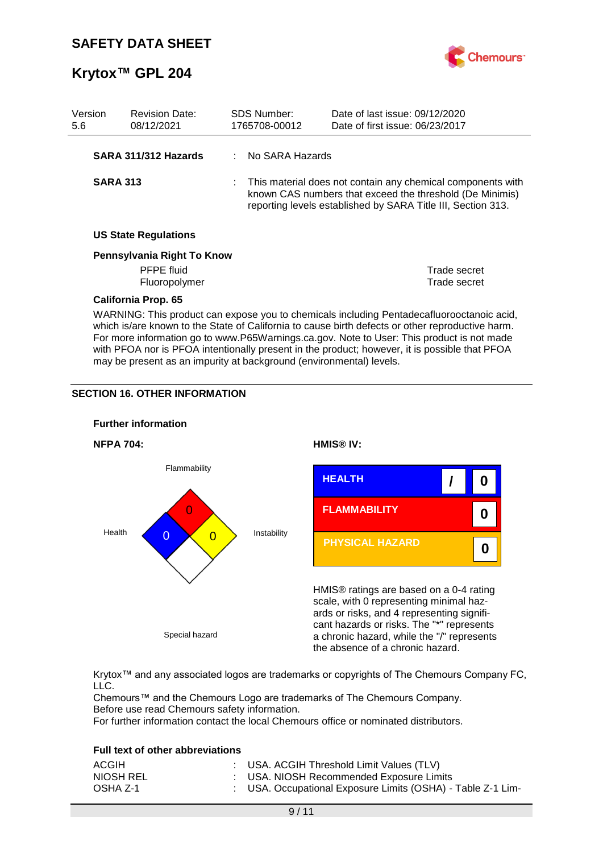

| Version<br>5.6 |                                                                                                                                                                                                                                                                                            | <b>Revision Date:</b><br>08/12/2021 |  | <b>SDS Number:</b><br>1765708-00012                                                                                                                                                     | Date of last issue: 09/12/2020<br>Date of first issue: 06/23/2017 |  |
|----------------|--------------------------------------------------------------------------------------------------------------------------------------------------------------------------------------------------------------------------------------------------------------------------------------------|-------------------------------------|--|-----------------------------------------------------------------------------------------------------------------------------------------------------------------------------------------|-------------------------------------------------------------------|--|
|                |                                                                                                                                                                                                                                                                                            | SARA 311/312 Hazards                |  | : No SARA Hazards                                                                                                                                                                       |                                                                   |  |
|                | <b>SARA 313</b>                                                                                                                                                                                                                                                                            |                                     |  | This material does not contain any chemical components with<br>known CAS numbers that exceed the threshold (De Minimis)<br>reporting levels established by SARA Title III, Section 313. |                                                                   |  |
|                |                                                                                                                                                                                                                                                                                            | <b>US State Regulations</b>         |  |                                                                                                                                                                                         |                                                                   |  |
|                |                                                                                                                                                                                                                                                                                            | Pennsylvania Right To Know          |  |                                                                                                                                                                                         |                                                                   |  |
|                |                                                                                                                                                                                                                                                                                            | <b>PFPE</b> fluid                   |  |                                                                                                                                                                                         | Trade secret                                                      |  |
|                |                                                                                                                                                                                                                                                                                            | Fluoropolymer                       |  |                                                                                                                                                                                         | Trade secret                                                      |  |
|                |                                                                                                                                                                                                                                                                                            | <b>California Prop. 65</b>          |  |                                                                                                                                                                                         |                                                                   |  |
|                | WARNING: This product can expose you to chemicals including Pentadecafluorooctanoic acid,<br>which is/are known to the State of California to cause birth defects or other reproductive harm.<br>For more information go to www.P65Warnings.ca.gov. Note to User: This product is not made |                                     |  |                                                                                                                                                                                         |                                                                   |  |

with PFOA nor is PFOA intentionally present in the product; however, it is possible that PFOA

may be present as an impurity at background (environmental) levels.

## **SECTION 16. OTHER INFORMATION**



Krytox™ and any associated logos are trademarks or copyrights of The Chemours Company FC, LLC.

Chemours™ and the Chemours Logo are trademarks of The Chemours Company. Before use read Chemours safety information.

For further information contact the local Chemours office or nominated distributors.

### **Full text of other abbreviations**

| ACGIH     | : USA. ACGIH Threshold Limit Values (TLV)                   |
|-----------|-------------------------------------------------------------|
| NIOSH REL | : USA. NIOSH Recommended Exposure Limits                    |
| OSHA Z-1  | : USA. Occupational Exposure Limits (OSHA) - Table Z-1 Lim- |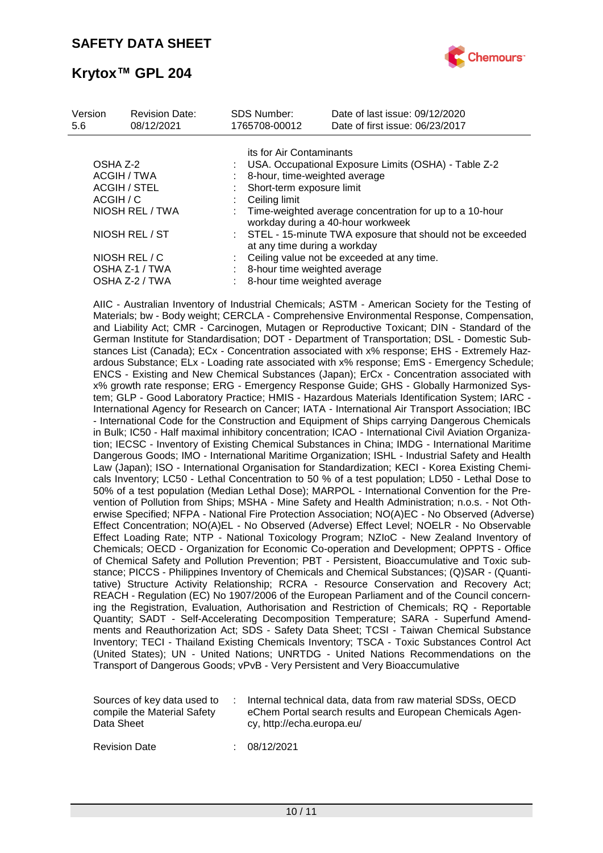

| Version<br>5.6  | <b>Revision Date:</b><br>08/12/2021 | <b>SDS Number:</b><br>1765708-00012                                                          | Date of last issue: 09/12/2020<br>Date of first issue: 06/23/2017 |  |  |
|-----------------|-------------------------------------|----------------------------------------------------------------------------------------------|-------------------------------------------------------------------|--|--|
|                 |                                     | its for Air Contaminants                                                                     |                                                                   |  |  |
| OSHA Z-2        |                                     |                                                                                              | USA. Occupational Exposure Limits (OSHA) - Table Z-2              |  |  |
| ACGIH / TWA     |                                     |                                                                                              | 8-hour, time-weighted average                                     |  |  |
| ACGIH / STEL    |                                     | Short-term exposure limit                                                                    |                                                                   |  |  |
| ACGIH / C       |                                     | Ceiling limit                                                                                |                                                                   |  |  |
| NIOSH REL / TWA |                                     | Time-weighted average concentration for up to a 10-hour<br>workday during a 40-hour workweek |                                                                   |  |  |
| NIOSH REL / ST  |                                     | : STEL - 15-minute TWA exposure that should not be exceeded<br>at any time during a workday  |                                                                   |  |  |
|                 | NIOSH REL / C                       |                                                                                              | Ceiling value not be exceeded at any time.                        |  |  |
| OSHA Z-1 / TWA  |                                     | 8-hour time weighted average                                                                 |                                                                   |  |  |
| OSHA Z-2 / TWA  |                                     | 8-hour time weighted average                                                                 |                                                                   |  |  |

AIIC - Australian Inventory of Industrial Chemicals; ASTM - American Society for the Testing of Materials; bw - Body weight; CERCLA - Comprehensive Environmental Response, Compensation, and Liability Act; CMR - Carcinogen, Mutagen or Reproductive Toxicant; DIN - Standard of the German Institute for Standardisation; DOT - Department of Transportation; DSL - Domestic Substances List (Canada); ECx - Concentration associated with x% response; EHS - Extremely Hazardous Substance; ELx - Loading rate associated with x% response; EmS - Emergency Schedule; ENCS - Existing and New Chemical Substances (Japan); ErCx - Concentration associated with x% growth rate response; ERG - Emergency Response Guide; GHS - Globally Harmonized System; GLP - Good Laboratory Practice; HMIS - Hazardous Materials Identification System; IARC - International Agency for Research on Cancer; IATA - International Air Transport Association; IBC - International Code for the Construction and Equipment of Ships carrying Dangerous Chemicals in Bulk; IC50 - Half maximal inhibitory concentration; ICAO - International Civil Aviation Organization; IECSC - Inventory of Existing Chemical Substances in China; IMDG - International Maritime Dangerous Goods; IMO - International Maritime Organization; ISHL - Industrial Safety and Health Law (Japan); ISO - International Organisation for Standardization; KECI - Korea Existing Chemicals Inventory; LC50 - Lethal Concentration to 50 % of a test population; LD50 - Lethal Dose to 50% of a test population (Median Lethal Dose); MARPOL - International Convention for the Prevention of Pollution from Ships; MSHA - Mine Safety and Health Administration; n.o.s. - Not Otherwise Specified; NFPA - National Fire Protection Association; NO(A)EC - No Observed (Adverse) Effect Concentration; NO(A)EL - No Observed (Adverse) Effect Level; NOELR - No Observable Effect Loading Rate; NTP - National Toxicology Program; NZIoC - New Zealand Inventory of Chemicals; OECD - Organization for Economic Co-operation and Development; OPPTS - Office of Chemical Safety and Pollution Prevention; PBT - Persistent, Bioaccumulative and Toxic substance; PICCS - Philippines Inventory of Chemicals and Chemical Substances; (Q)SAR - (Quantitative) Structure Activity Relationship; RCRA - Resource Conservation and Recovery Act; REACH - Regulation (EC) No 1907/2006 of the European Parliament and of the Council concerning the Registration, Evaluation, Authorisation and Restriction of Chemicals; RQ - Reportable Quantity; SADT - Self-Accelerating Decomposition Temperature; SARA - Superfund Amendments and Reauthorization Act; SDS - Safety Data Sheet; TCSI - Taiwan Chemical Substance Inventory; TECI - Thailand Existing Chemicals Inventory; TSCA - Toxic Substances Control Act (United States); UN - United Nations; UNRTDG - United Nations Recommendations on the Transport of Dangerous Goods; vPvB - Very Persistent and Very Bioaccumulative

| Sources of key data used to<br>compile the Material Safety<br>Data Sheet | Internal technical data, data from raw material SDSs, OECD<br>eChem Portal search results and European Chemicals Agen-<br>cy, http://echa.europa.eu/ |
|--------------------------------------------------------------------------|------------------------------------------------------------------------------------------------------------------------------------------------------|
|                                                                          |                                                                                                                                                      |

Revision Date : 08/12/2021